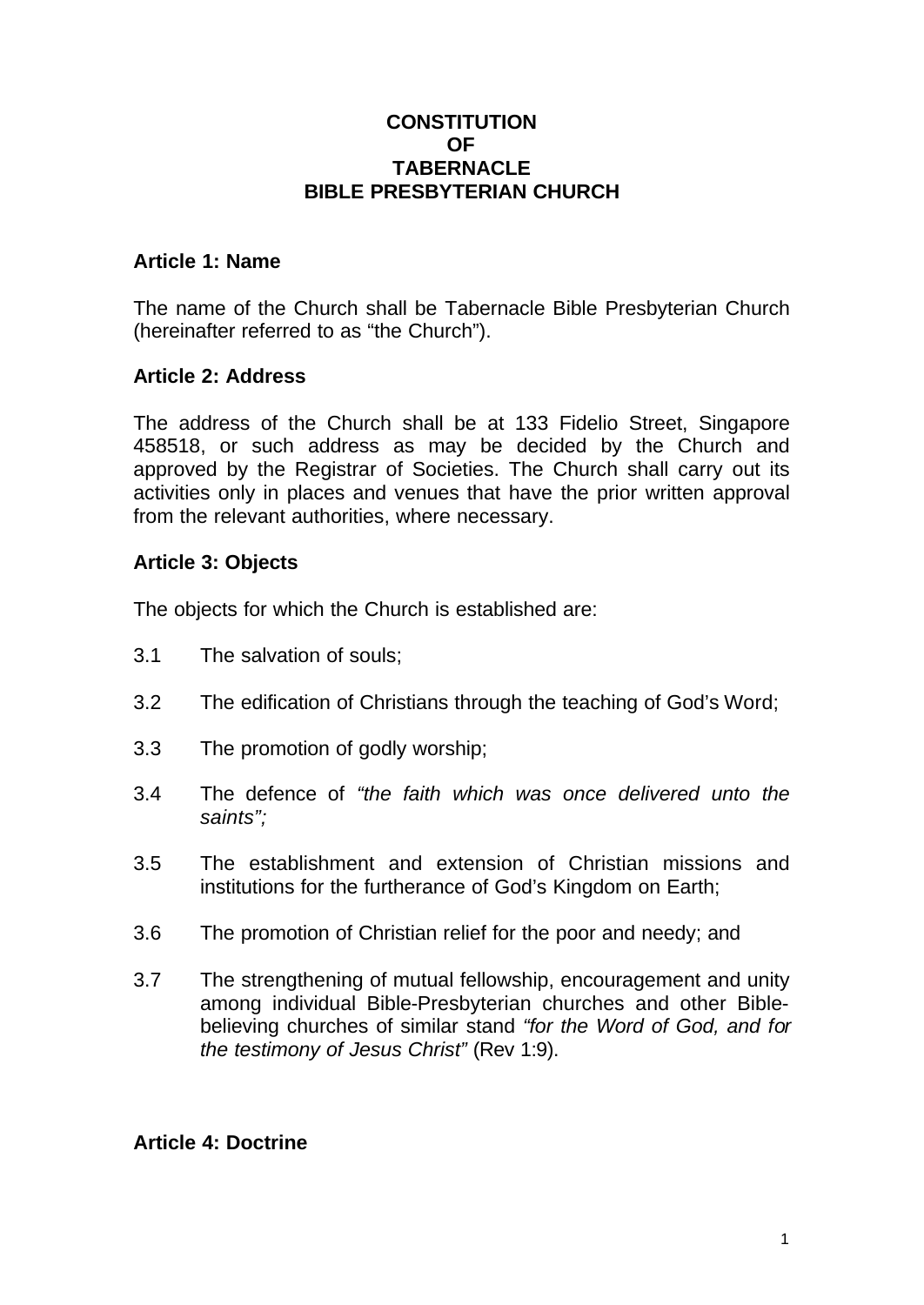#### **CONSTITUTION OF TABERNACLE BIBLE PRESBYTERIAN CHURCH**

#### **Article 1: Name**

The name of the Church shall be Tabernacle Bible Presbyterian Church (hereinafter referred to as "the Church").

### **Article 2: Address**

The address of the Church shall be at 133 Fidelio Street, Singapore 458518, or such address as may be decided by the Church and approved by the Registrar of Societies. The Church shall carry out its activities only in places and venues that have the prior written approval from the relevant authorities, where necessary.

### **Article 3: Objects**

The objects for which the Church is established are:

- 3.1 The salvation of souls;
- 3.2 The edification of Christians through the teaching of God's Word;
- 3.3 The promotion of godly worship;
- 3.4 The defence of *"the faith which was once delivered unto the saints";*
- 3.5 The establishment and extension of Christian missions and institutions for the furtherance of God's Kingdom on Earth;
- 3.6 The promotion of Christian relief for the poor and needy; and
- 3.7 The strengthening of mutual fellowship, encouragement and unity among individual Bible-Presbyterian churches and other Biblebelieving churches of similar stand *"for the Word of God, and for the testimony of Jesus Christ"* (Rev 1:9).

#### **Article 4: Doctrine**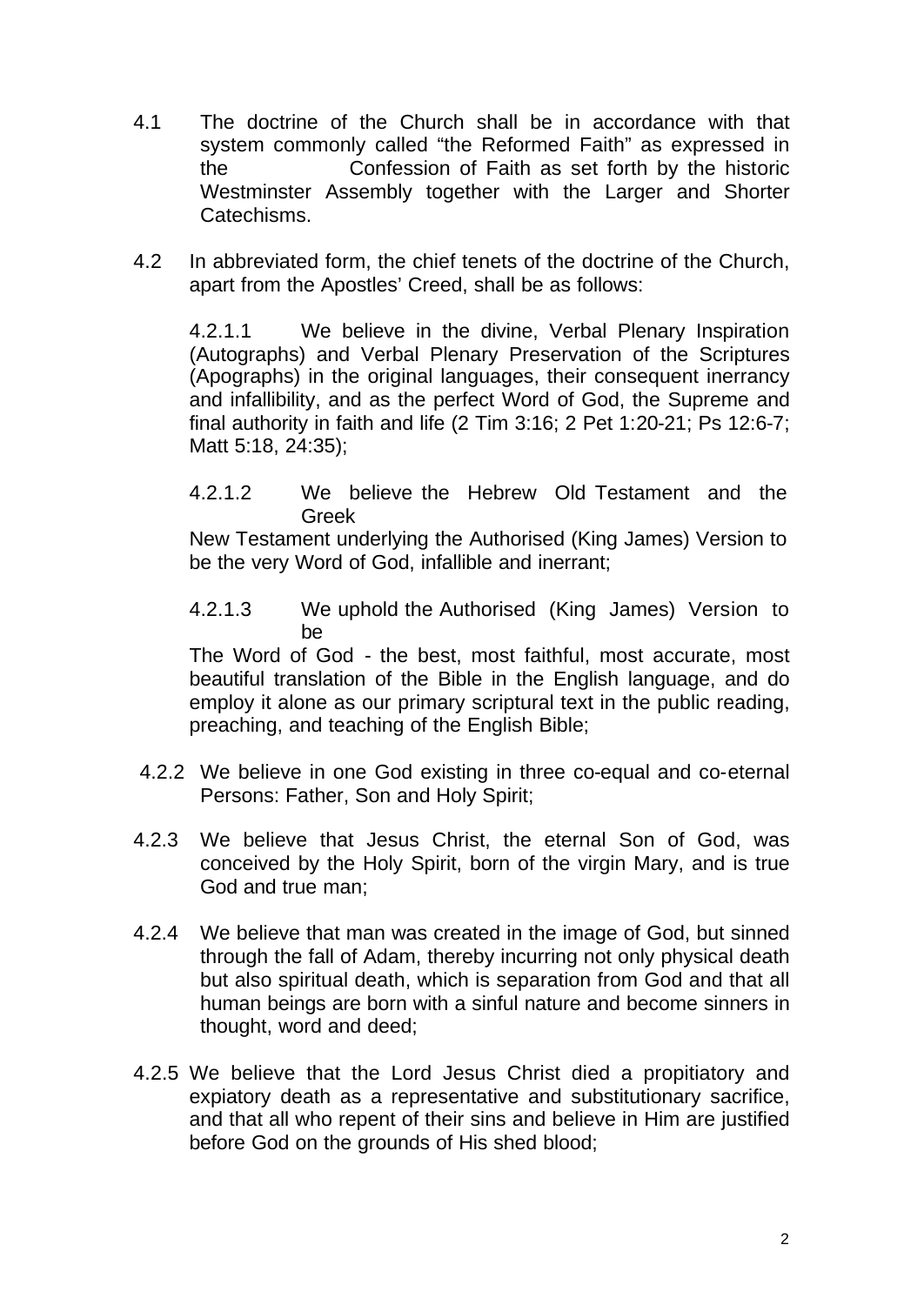- 4.1 The doctrine of the Church shall be in accordance with that system commonly called "the Reformed Faith" as expressed in the Confession of Faith as set forth by the historic Westminster Assembly together with the Larger and Shorter Catechisms.
- 4.2 In abbreviated form, the chief tenets of the doctrine of the Church, apart from the Apostles' Creed, shall be as follows:

4.2.1.1 We believe in the divine, Verbal Plenary Inspiration (Autographs) and Verbal Plenary Preservation of the Scriptures (Apographs) in the original languages, their consequent inerrancy and infallibility, and as the perfect Word of God, the Supreme and final authority in faith and life (2 Tim 3:16; 2 Pet 1:20-21; Ps 12:6-7; Matt 5:18, 24:35);

4.2.1.2 We believe the Hebrew Old Testament and the Greek

New Testament underlying the Authorised (King James) Version to be the very Word of God, infallible and inerrant;

4.2.1.3 We uphold the Authorised (King James) Version to be

The Word of God - the best, most faithful, most accurate, most beautiful translation of the Bible in the English language, and do employ it alone as our primary scriptural text in the public reading, preaching, and teaching of the English Bible;

- 4.2.2 We believe in one God existing in three co-equal and co-eternal Persons: Father, Son and Holy Spirit;
- 4.2.3 We believe that Jesus Christ, the eternal Son of God, was conceived by the Holy Spirit, born of the virgin Mary, and is true God and true man;
- 4.2.4 We believe that man was created in the image of God, but sinned through the fall of Adam, thereby incurring not only physical death but also spiritual death, which is separation from God and that all human beings are born with a sinful nature and become sinners in thought, word and deed;
- 4.2.5 We believe that the Lord Jesus Christ died a propitiatory and expiatory death as a representative and substitutionary sacrifice, and that all who repent of their sins and believe in Him are justified before God on the grounds of His shed blood;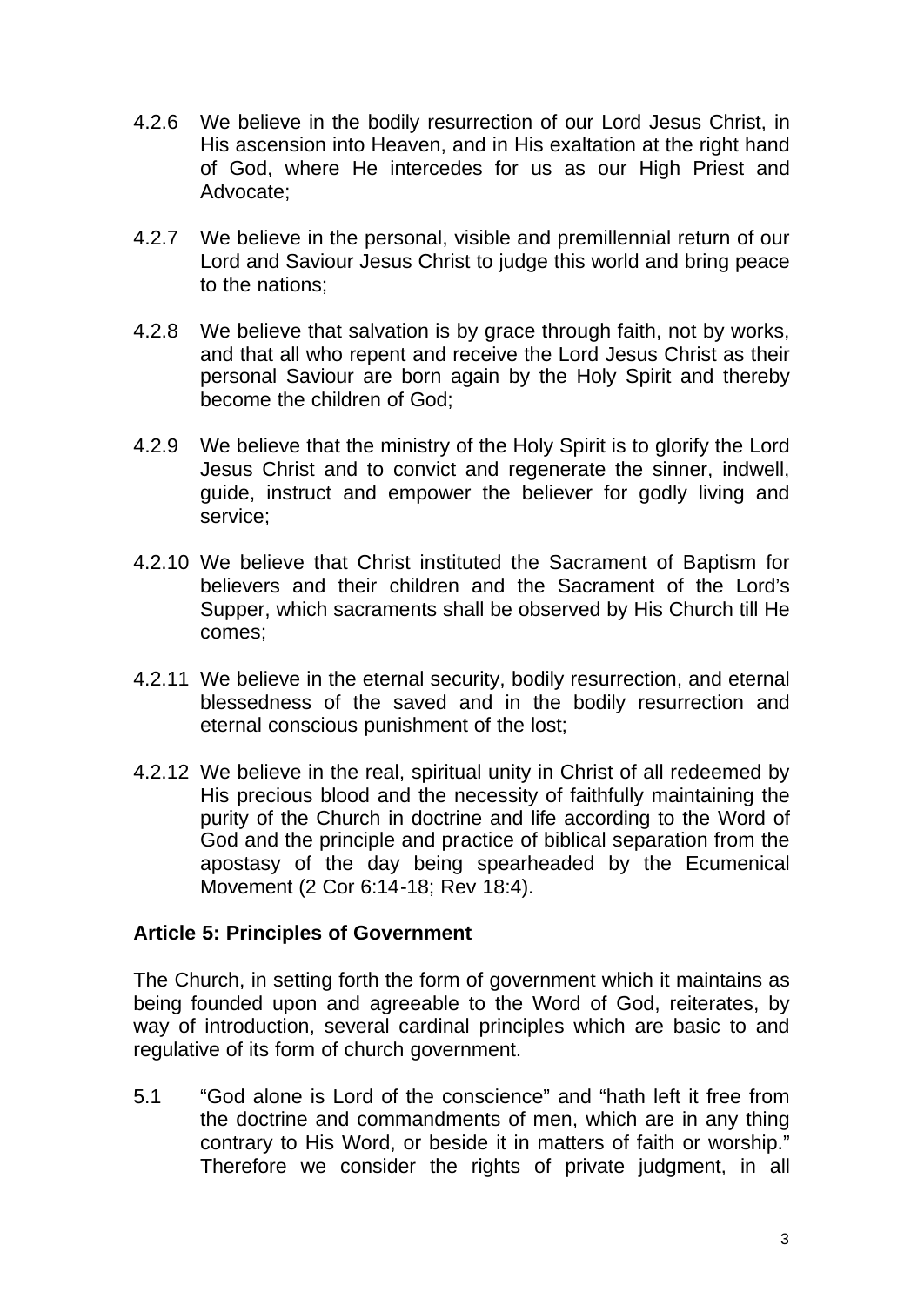- 4.2.6 We believe in the bodily resurrection of our Lord Jesus Christ, in His ascension into Heaven, and in His exaltation at the right hand of God, where He intercedes for us as our High Priest and Advocate;
- 4.2.7 We believe in the personal, visible and premillennial return of our Lord and Saviour Jesus Christ to judge this world and bring peace to the nations;
- 4.2.8 We believe that salvation is by grace through faith, not by works, and that all who repent and receive the Lord Jesus Christ as their personal Saviour are born again by the Holy Spirit and thereby become the children of God;
- 4.2.9 We believe that the ministry of the Holy Spirit is to glorify the Lord Jesus Christ and to convict and regenerate the sinner, indwell, guide, instruct and empower the believer for godly living and service;
- 4.2.10 We believe that Christ instituted the Sacrament of Baptism for believers and their children and the Sacrament of the Lord's Supper, which sacraments shall be observed by His Church till He comes;
- 4.2.11 We believe in the eternal security, bodily resurrection, and eternal blessedness of the saved and in the bodily resurrection and eternal conscious punishment of the lost;
- 4.2.12 We believe in the real, spiritual unity in Christ of all redeemed by His precious blood and the necessity of faithfully maintaining the purity of the Church in doctrine and life according to the Word of God and the principle and practice of biblical separation from the apostasy of the day being spearheaded by the Ecumenical Movement (2 Cor 6:14-18; Rev 18:4).

#### **Article 5: Principles of Government**

The Church, in setting forth the form of government which it maintains as being founded upon and agreeable to the Word of God, reiterates, by way of introduction, several cardinal principles which are basic to and regulative of its form of church government.

5.1 "God alone is Lord of the conscience" and "hath left it free from the doctrine and commandments of men, which are in any thing contrary to His Word, or beside it in matters of faith or worship." Therefore we consider the rights of private judgment, in all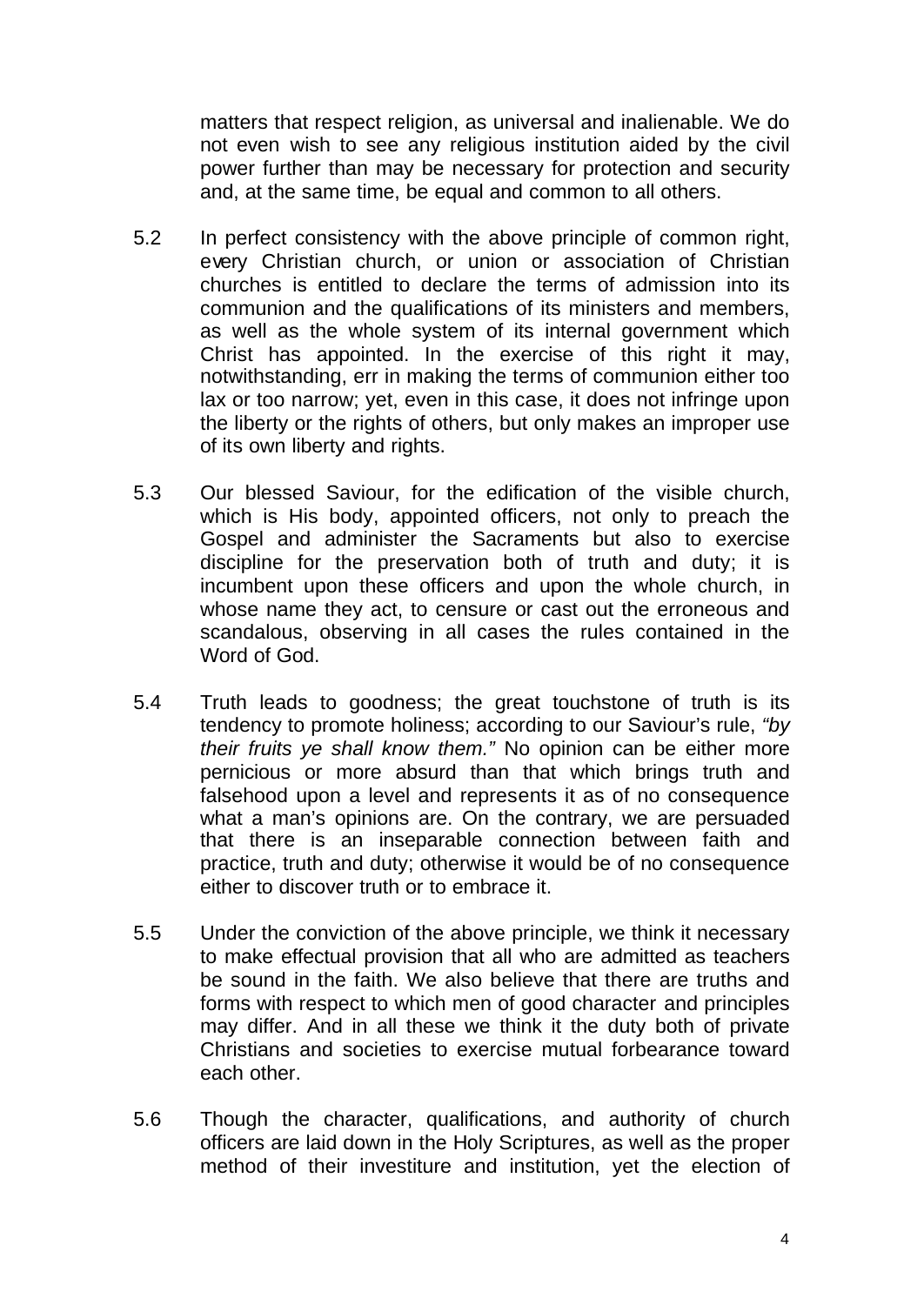matters that respect religion, as universal and inalienable. We do not even wish to see any religious institution aided by the civil power further than may be necessary for protection and security and, at the same time, be equal and common to all others.

- 5.2 In perfect consistency with the above principle of common right, every Christian church, or union or association of Christian churches is entitled to declare the terms of admission into its communion and the qualifications of its ministers and members, as well as the whole system of its internal government which Christ has appointed. In the exercise of this right it may, notwithstanding, err in making the terms of communion either too lax or too narrow; yet, even in this case, it does not infringe upon the liberty or the rights of others, but only makes an improper use of its own liberty and rights.
- 5.3 Our blessed Saviour, for the edification of the visible church, which is His body, appointed officers, not only to preach the Gospel and administer the Sacraments but also to exercise discipline for the preservation both of truth and duty; it is incumbent upon these officers and upon the whole church, in whose name they act, to censure or cast out the erroneous and scandalous, observing in all cases the rules contained in the Word of God.
- 5.4 Truth leads to goodness; the great touchstone of truth is its tendency to promote holiness; according to our Saviour's rule, *"by their fruits ye shall know them."* No opinion can be either more pernicious or more absurd than that which brings truth and falsehood upon a level and represents it as of no consequence what a man's opinions are. On the contrary, we are persuaded that there is an inseparable connection between faith and practice, truth and duty; otherwise it would be of no consequence either to discover truth or to embrace it.
- 5.5 Under the conviction of the above principle, we think it necessary to make effectual provision that all who are admitted as teachers be sound in the faith. We also believe that there are truths and forms with respect to which men of good character and principles may differ. And in all these we think it the duty both of private Christians and societies to exercise mutual forbearance toward each other.
- 5.6 Though the character, qualifications, and authority of church officers are laid down in the Holy Scriptures, as well as the proper method of their investiture and institution, yet the election of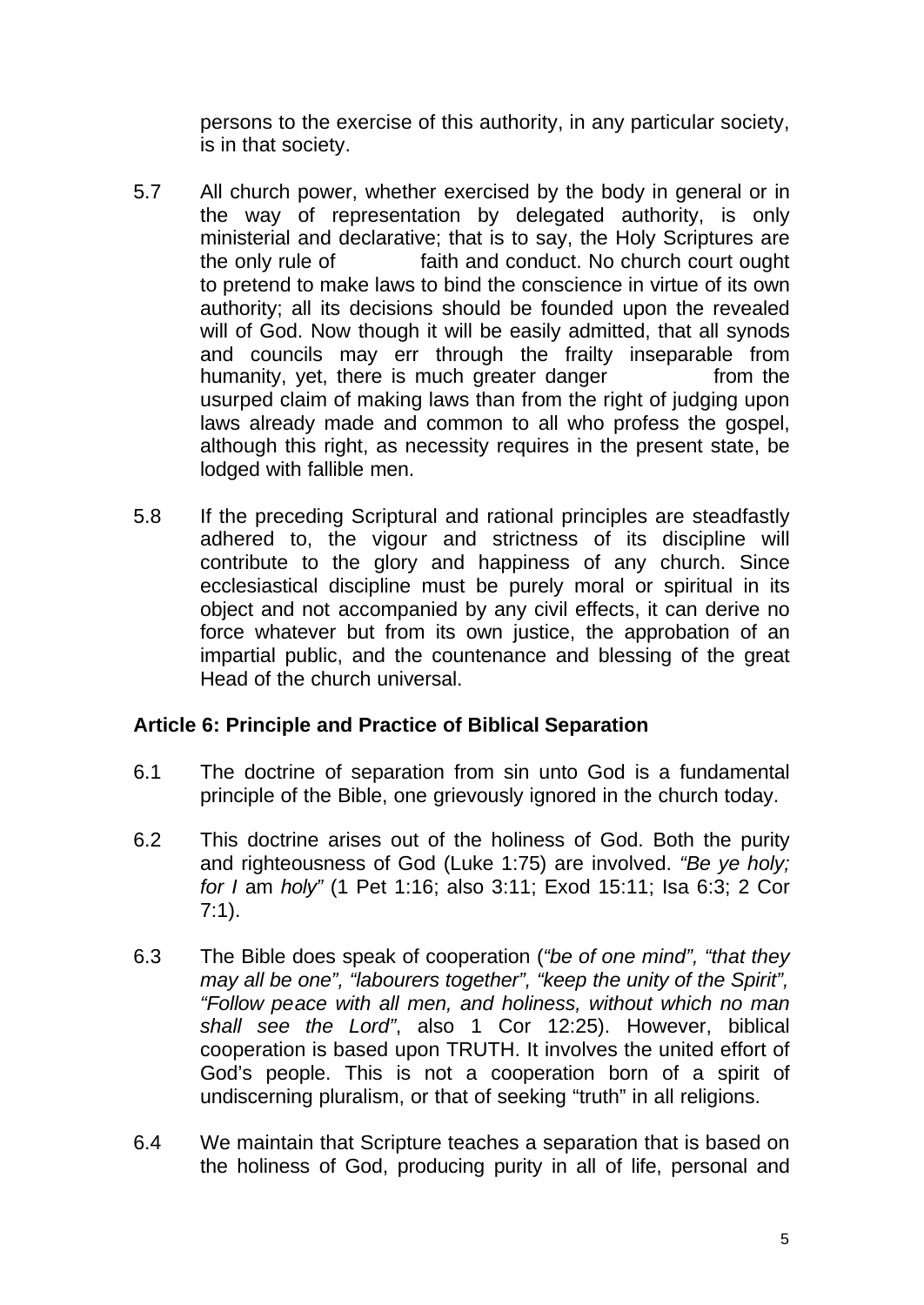persons to the exercise of this authority, in any particular society, is in that society.

- 5.7 All church power, whether exercised by the body in general or in the way of representation by delegated authority, is only ministerial and declarative; that is to say, the Holy Scriptures are the only rule of faith and conduct. No church court ought to pretend to make laws to bind the conscience in virtue of its own authority; all its decisions should be founded upon the revealed will of God. Now though it will be easily admitted, that all synods and councils may err through the frailty inseparable from humanity, yet, there is much greater danger from the usurped claim of making laws than from the right of judging upon laws already made and common to all who profess the gospel, although this right, as necessity requires in the present state, be lodged with fallible men.
- 5.8 If the preceding Scriptural and rational principles are steadfastly adhered to, the vigour and strictness of its discipline will contribute to the glory and happiness of any church. Since ecclesiastical discipline must be purely moral or spiritual in its object and not accompanied by any civil effects, it can derive no force whatever but from its own justice, the approbation of an impartial public, and the countenance and blessing of the great Head of the church universal.

### **Article 6: Principle and Practice of Biblical Separation**

- 6.1 The doctrine of separation from sin unto God is a fundamental principle of the Bible, one grievously ignored in the church today.
- 6.2 This doctrine arises out of the holiness of God. Both the purity and righteousness of God (Luke 1:75) are involved. *"Be ye holy; for I* am *holy"* (1 Pet 1:16; also 3:11; Exod 15:11; Isa 6:3; 2 Cor 7:1).
- 6.3 The Bible does speak of cooperation (*"be of one mind", "that they may all be one", "labourers together", "keep the unity of the Spirit", "Follow peace with all men, and holiness, without which no man shall see the Lord"*, also 1 Cor 12:25). However, biblical cooperation is based upon TRUTH. It involves the united effort of God's people. This is not a cooperation born of a spirit of undiscerning pluralism, or that of seeking "truth" in all religions.
- 6.4 We maintain that Scripture teaches a separation that is based on the holiness of God, producing purity in all of life, personal and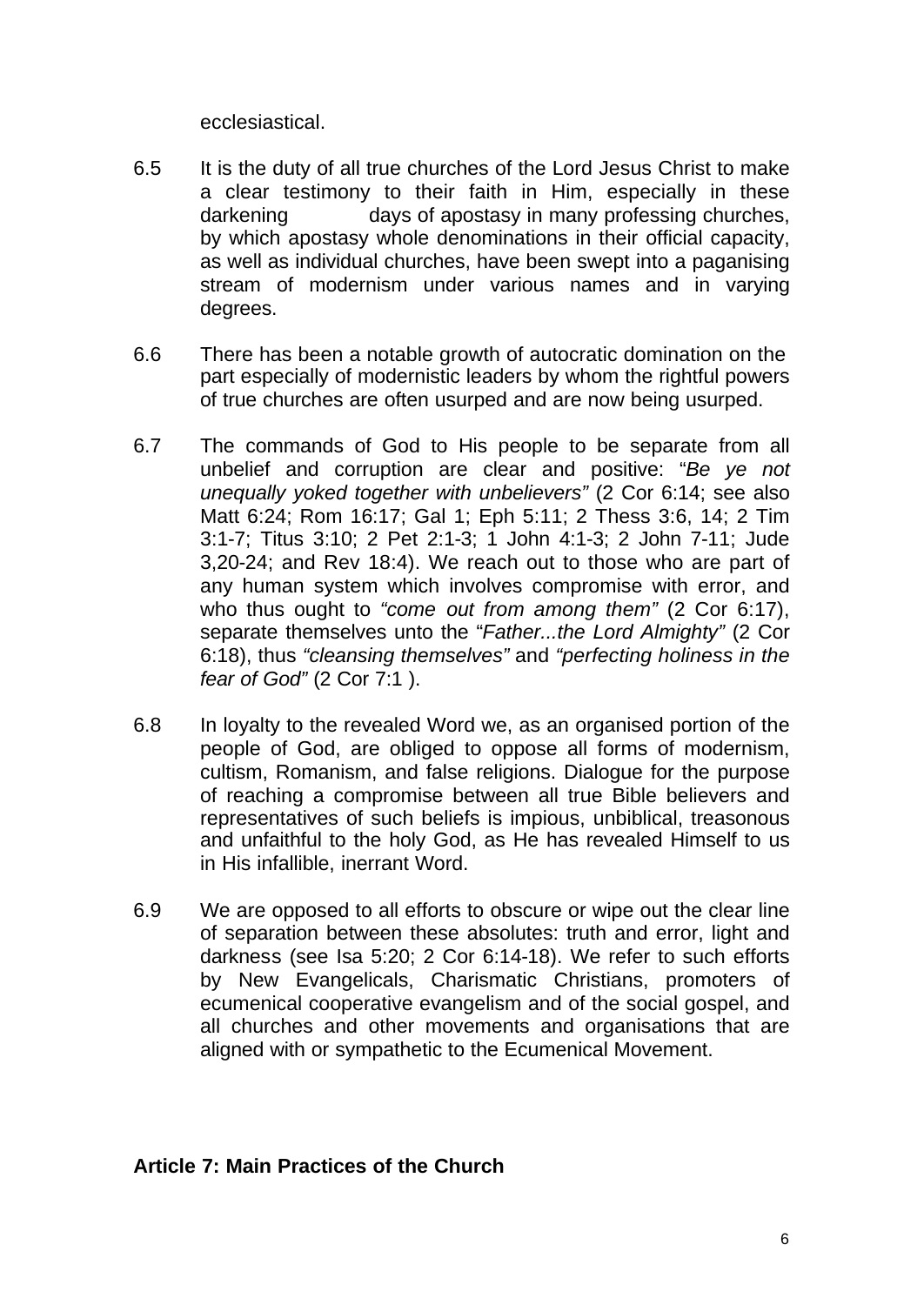ecclesiastical.

- 6.5 It is the duty of all true churches of the Lord Jesus Christ to make a clear testimony to their faith in Him, especially in these darkening days of apostasy in many professing churches, by which apostasy whole denominations in their official capacity, as well as individual churches, have been swept into a paganising stream of modernism under various names and in varying degrees.
- 6.6 There has been a notable growth of autocratic domination on the part especially of modernistic leaders by whom the rightful powers of true churches are often usurped and are now being usurped.
- 6.7 The commands of God to His people to be separate from all unbelief and corruption are clear and positive: "*Be ye not unequally yoked together with unbelievers"* (2 Cor 6:14; see also Matt 6:24; Rom 16:17; Gal 1; Eph 5:11; 2 Thess 3:6, 14; 2 Tim 3:1-7; Titus 3:10; 2 Pet 2:1-3; 1 John 4:1-3; 2 John 7-11; Jude 3,20-24; and Rev 18:4). We reach out to those who are part of any human system which involves compromise with error, and who thus ought to *"come out from among them"* (2 Cor 6:17), separate themselves unto the "*Father...the Lord Almighty"* (2 Cor 6:18), thus *"cleansing themselves"* and *"perfecting holiness in the fear of God"* (2 Cor 7:1 ).
- 6.8 In loyalty to the revealed Word we, as an organised portion of the people of God, are obliged to oppose all forms of modernism, cultism, Romanism, and false religions. Dialogue for the purpose of reaching a compromise between all true Bible believers and representatives of such beliefs is impious, unbiblical, treasonous and unfaithful to the holy God, as He has revealed Himself to us in His infallible, inerrant Word.
- 6.9 We are opposed to all efforts to obscure or wipe out the clear line of separation between these absolutes: truth and error, light and darkness (see Isa 5:20; 2 Cor 6:14-18). We refer to such efforts by New Evangelicals, Charismatic Christians, promoters of ecumenical cooperative evangelism and of the social gospel, and all churches and other movements and organisations that are aligned with or sympathetic to the Ecumenical Movement.

### **Article 7: Main Practices of the Church**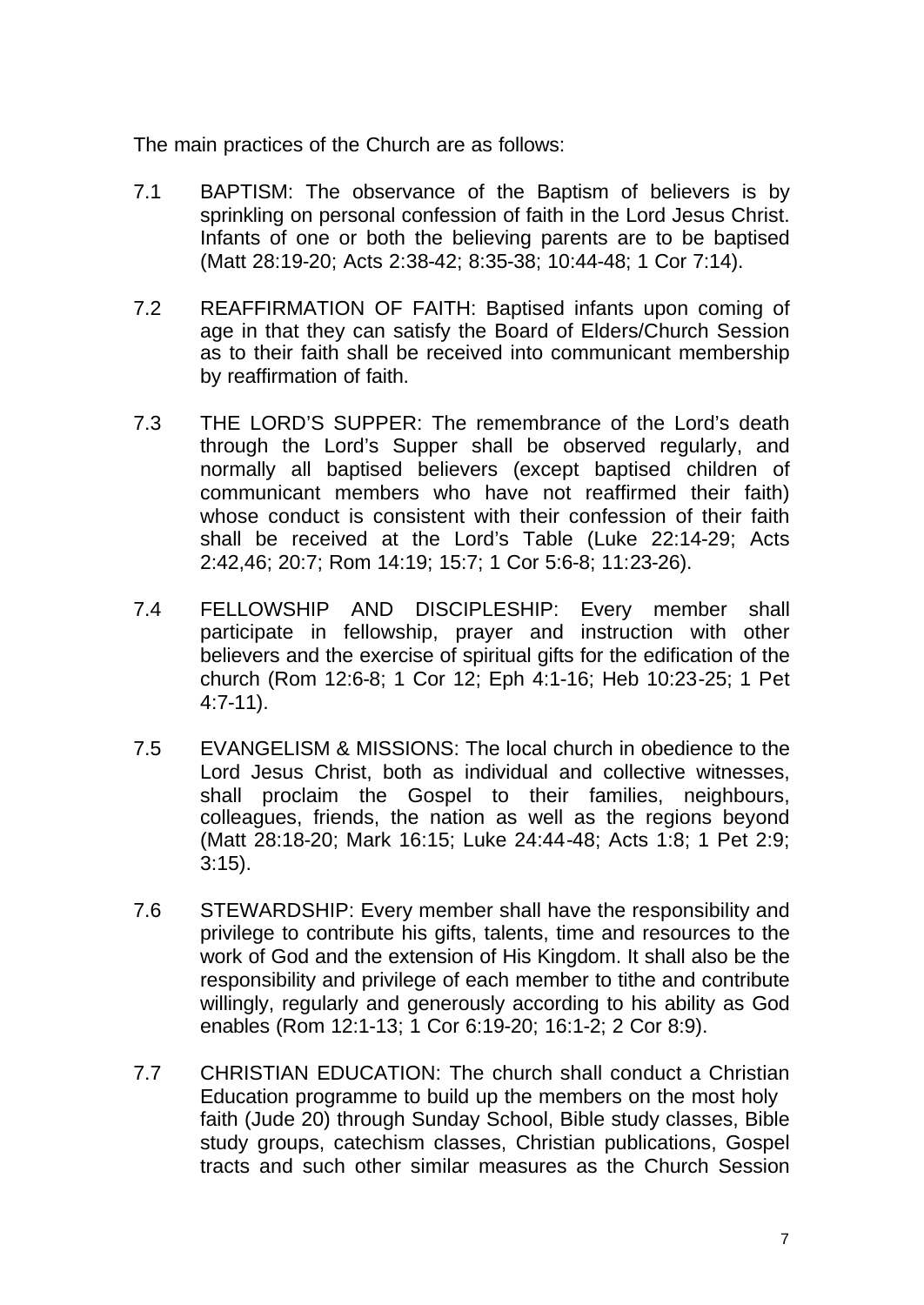The main practices of the Church are as follows:

- 7.1 BAPTISM: The observance of the Baptism of believers is by sprinkling on personal confession of faith in the Lord Jesus Christ. Infants of one or both the believing parents are to be baptised (Matt 28:19-20; Acts 2:38-42; 8:35-38; 10:44-48; 1 Cor 7:14).
- 7.2 REAFFIRMATION OF FAITH: Baptised infants upon coming of age in that they can satisfy the Board of Elders/Church Session as to their faith shall be received into communicant membership by reaffirmation of faith.
- 7.3 THE LORD'S SUPPER: The remembrance of the Lord's death through the Lord's Supper shall be observed regularly, and normally all baptised believers (except baptised children of communicant members who have not reaffirmed their faith) whose conduct is consistent with their confession of their faith shall be received at the Lord's Table (Luke 22:14-29; Acts 2:42,46; 20:7; Rom 14:19; 15:7; 1 Cor 5:6-8; 11:23-26).
- 7.4 FELLOWSHIP AND DISCIPLESHIP: Every member shall participate in fellowship, prayer and instruction with other believers and the exercise of spiritual gifts for the edification of the church (Rom 12:6-8; 1 Cor 12; Eph 4:1-16; Heb 10:23-25; 1 Pet 4:7-11).
- 7.5 EVANGELISM & MISSIONS: The local church in obedience to the Lord Jesus Christ, both as individual and collective witnesses, shall proclaim the Gospel to their families, neighbours, colleagues, friends, the nation as well as the regions beyond (Matt 28:18-20; Mark 16:15; Luke 24:44-48; Acts 1:8; 1 Pet 2:9; 3:15).
- 7.6 STEWARDSHIP: Every member shall have the responsibility and privilege to contribute his gifts, talents, time and resources to the work of God and the extension of His Kingdom. It shall also be the responsibility and privilege of each member to tithe and contribute willingly, regularly and generously according to his ability as God enables (Rom 12:1-13; 1 Cor 6:19-20; 16:1-2; 2 Cor 8:9).
- 7.7 CHRISTIAN EDUCATION: The church shall conduct a Christian Education programme to build up the members on the most holy faith (Jude 20) through Sunday School, Bible study classes, Bible study groups, catechism classes, Christian publications, Gospel tracts and such other similar measures as the Church Session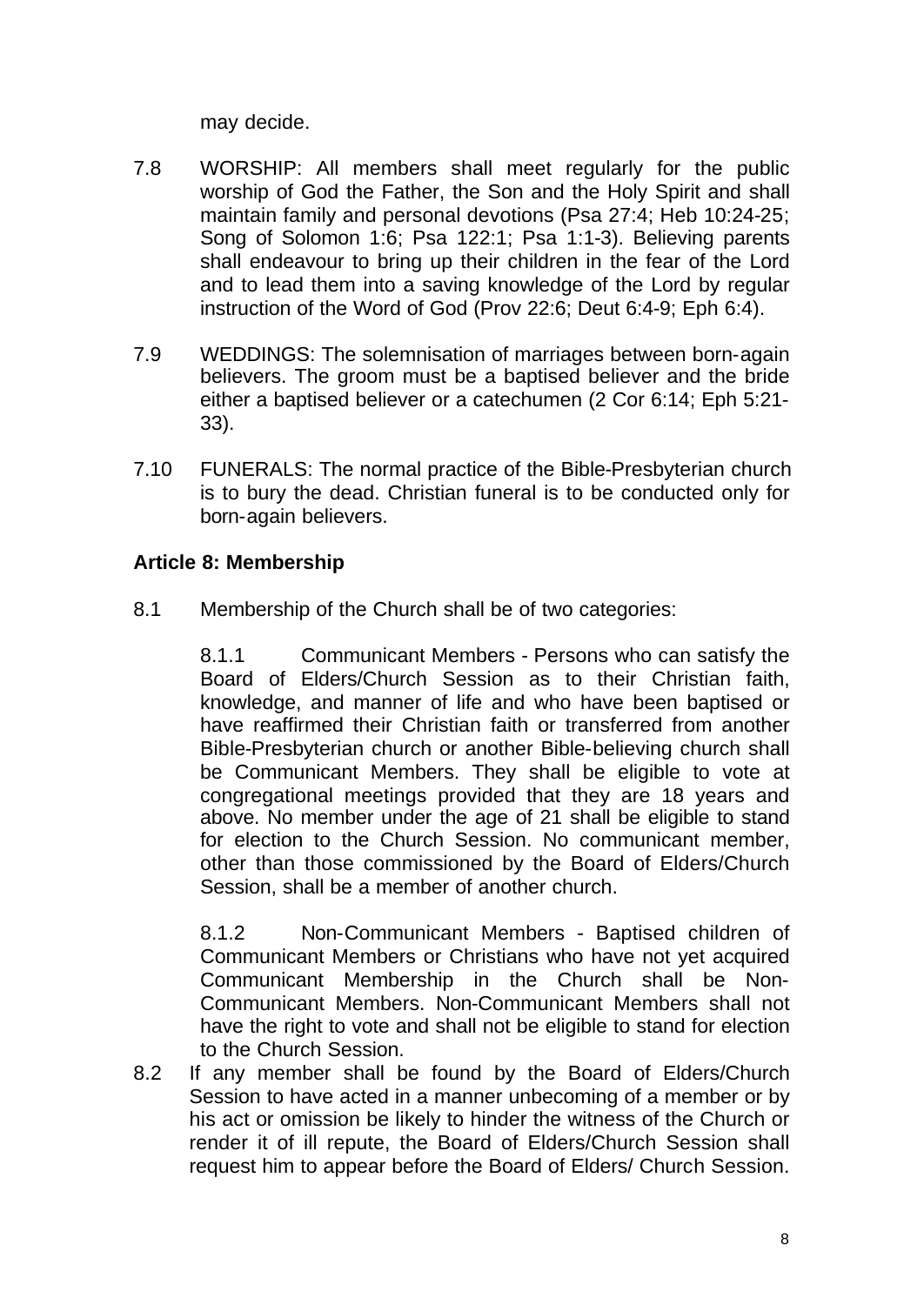may decide.

- 7.8 WORSHIP: All members shall meet regularly for the public worship of God the Father, the Son and the Holy Spirit and shall maintain family and personal devotions (Psa 27:4; Heb 10:24-25; Song of Solomon 1:6; Psa 122:1; Psa 1:1-3). Believing parents shall endeavour to bring up their children in the fear of the Lord and to lead them into a saving knowledge of the Lord by regular instruction of the Word of God (Prov 22:6; Deut 6:4-9; Eph 6:4).
- 7.9 WEDDINGS: The solemnisation of marriages between born-again believers. The groom must be a baptised believer and the bride either a baptised believer or a catechumen (2 Cor 6:14; Eph 5:21- 33).
- 7.10 FUNERALS: The normal practice of the Bible-Presbyterian church is to bury the dead. Christian funeral is to be conducted only for born-again believers.

# **Article 8: Membership**

8.1 Membership of the Church shall be of two categories:

8.1.1 Communicant Members - Persons who can satisfy the Board of Elders/Church Session as to their Christian faith, knowledge, and manner of life and who have been baptised or have reaffirmed their Christian faith or transferred from another Bible-Presbyterian church or another Bible-believing church shall be Communicant Members. They shall be eligible to vote at congregational meetings provided that they are 18 years and above. No member under the age of 21 shall be eligible to stand for election to the Church Session. No communicant member, other than those commissioned by the Board of Elders/Church Session, shall be a member of another church.

8.1.2 Non-Communicant Members - Baptised children of Communicant Members or Christians who have not yet acquired Communicant Membership in the Church shall be Non-Communicant Members. Non-Communicant Members shall not have the right to vote and shall not be eligible to stand for election to the Church Session.

8.2 If any member shall be found by the Board of Elders/Church Session to have acted in a manner unbecoming of a member or by his act or omission be likely to hinder the witness of the Church or render it of ill repute, the Board of Elders/Church Session shall request him to appear before the Board of Elders/ Church Session.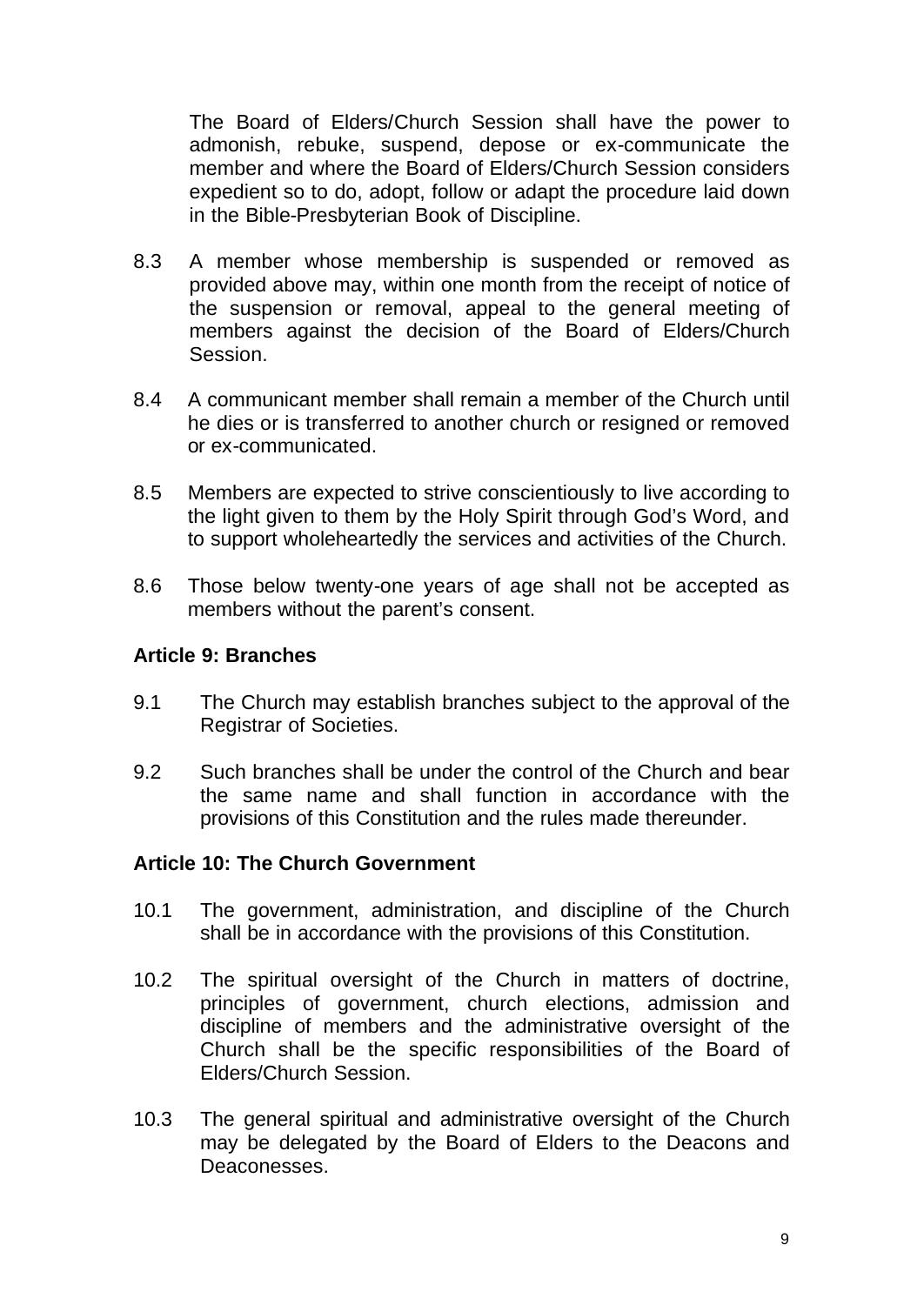The Board of Elders/Church Session shall have the power to admonish, rebuke, suspend, depose or ex-communicate the member and where the Board of Elders/Church Session considers expedient so to do, adopt, follow or adapt the procedure laid down in the Bible-Presbyterian Book of Discipline.

- 8.3 A member whose membership is suspended or removed as provided above may, within one month from the receipt of notice of the suspension or removal, appeal to the general meeting of members against the decision of the Board of Elders/Church Session.
- 8.4 A communicant member shall remain a member of the Church until he dies or is transferred to another church or resigned or removed or ex-communicated.
- 8.5 Members are expected to strive conscientiously to live according to the light given to them by the Holy Spirit through God's Word, and to support wholeheartedly the services and activities of the Church.
- 8.6 Those below twenty-one years of age shall not be accepted as members without the parent's consent.

#### **Article 9: Branches**

- 9.1 The Church may establish branches subject to the approval of the Registrar of Societies.
- 9.2 Such branches shall be under the control of the Church and bear the same name and shall function in accordance with the provisions of this Constitution and the rules made thereunder.

#### **Article 10: The Church Government**

- 10.1 The government, administration, and discipline of the Church shall be in accordance with the provisions of this Constitution.
- 10.2 The spiritual oversight of the Church in matters of doctrine, principles of government, church elections, admission and discipline of members and the administrative oversight of the Church shall be the specific responsibilities of the Board of Elders/Church Session.
- 10.3 The general spiritual and administrative oversight of the Church may be delegated by the Board of Elders to the Deacons and Deaconesses.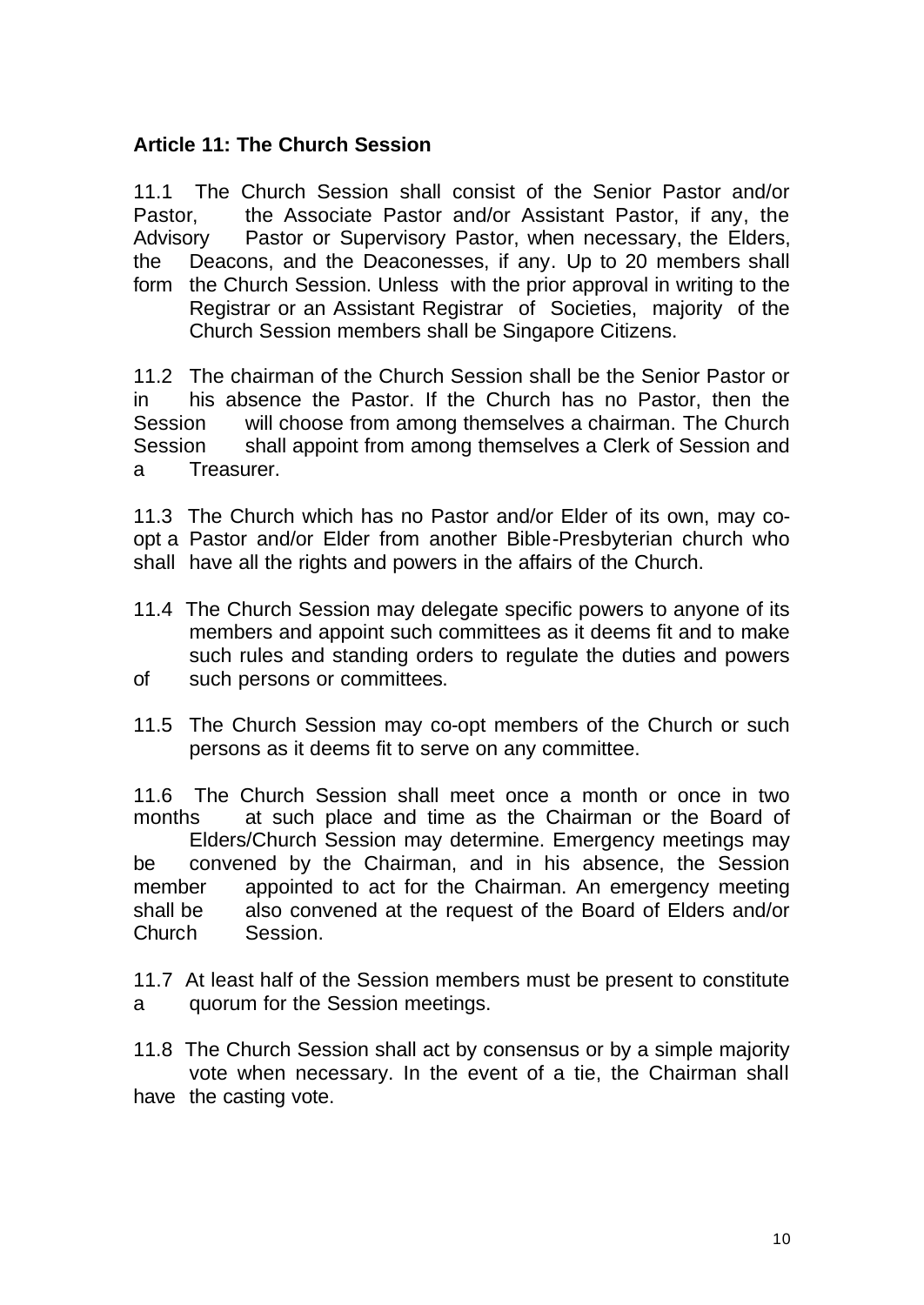### **Article 11: The Church Session**

11.1 The Church Session shall consist of the Senior Pastor and/or Pastor, the Associate Pastor and/or Assistant Pastor, if any, the Advisory Pastor or Supervisory Pastor, when necessary, the Elders, the Deacons, and the Deaconesses, if any. Up to 20 members shall form the Church Session. Unless with the prior approval in writing to the Registrar or an Assistant Registrar of Societies, majority of the Church Session members shall be Singapore Citizens.

11.2 The chairman of the Church Session shall be the Senior Pastor or in his absence the Pastor. If the Church has no Pastor, then the Session will choose from among themselves a chairman. The Church Session shall appoint from among themselves a Clerk of Session and a Treasurer.

11.3 The Church which has no Pastor and/or Elder of its own, may coopt a Pastor and/or Elder from another Bible-Presbyterian church who shall have all the rights and powers in the affairs of the Church.

- 11.4 The Church Session may delegate specific powers to anyone of its members and appoint such committees as it deems fit and to make such rules and standing orders to regulate the duties and powers of such persons or committees.
- 11.5 The Church Session may co-opt members of the Church or such persons as it deems fit to serve on any committee.

11.6 The Church Session shall meet once a month or once in two months at such place and time as the Chairman or the Board of Elders/Church Session may determine. Emergency meetings may be convened by the Chairman, and in his absence, the Session member appointed to act for the Chairman. An emergency meeting shall be also convened at the request of the Board of Elders and/or Church Session.

11.7 At least half of the Session members must be present to constitute a quorum for the Session meetings.

11.8 The Church Session shall act by consensus or by a simple majority vote when necessary. In the event of a tie, the Chairman shall have the casting vote.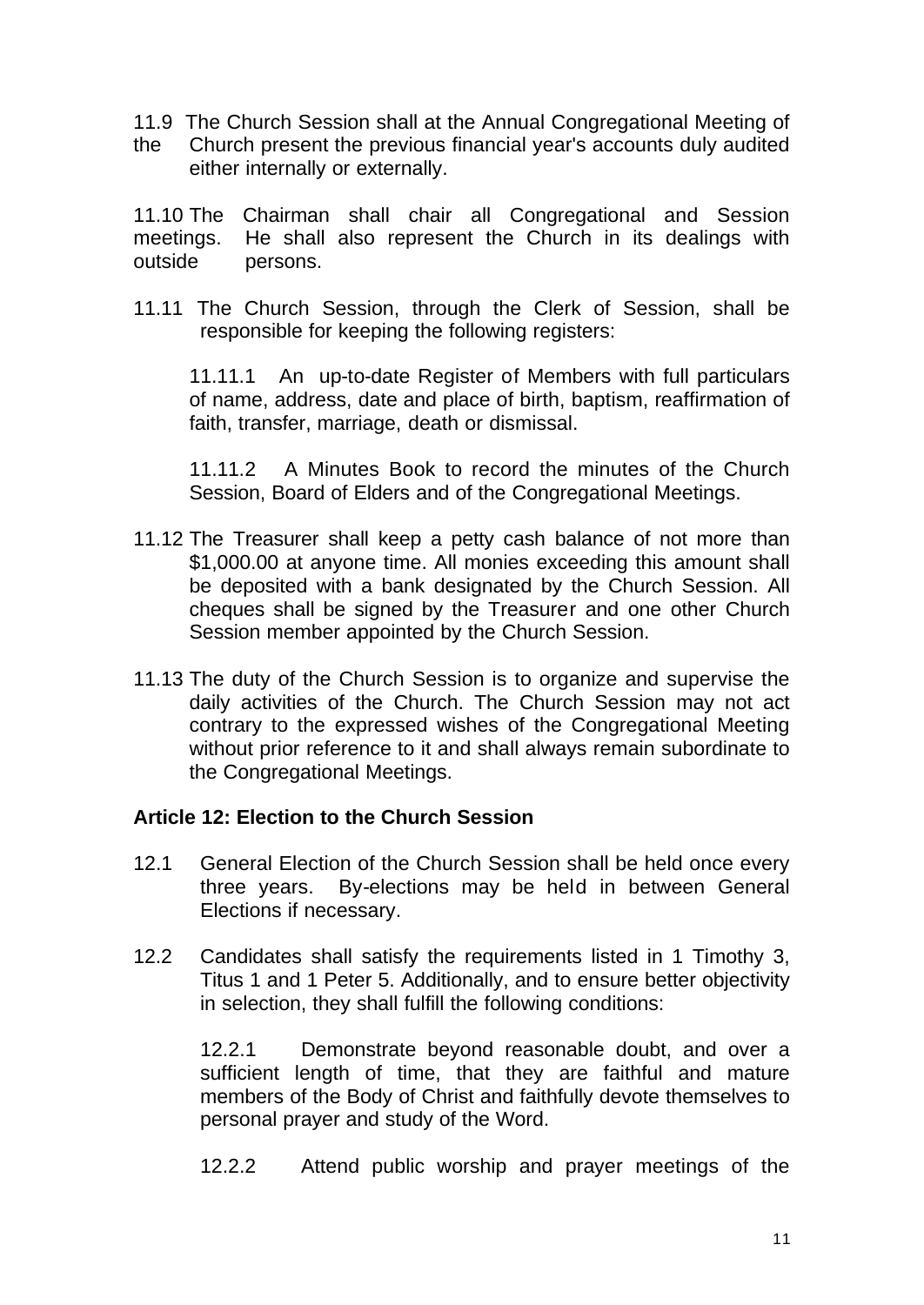11.9 The Church Session shall at the Annual Congregational Meeting of the Church present the previous financial year's accounts duly audited either internally or externally.

11.10 The Chairman shall chair all Congregational and Session meetings. He shall also represent the Church in its dealings with outside persons.

11.11 The Church Session, through the Clerk of Session, shall be responsible for keeping the following registers:

11.11.1 An up-to-date Register of Members with full particulars of name, address, date and place of birth, baptism, reaffirmation of faith, transfer, marriage, death or dismissal.

11.11.2 A Minutes Book to record the minutes of the Church Session, Board of Elders and of the Congregational Meetings.

- 11.12 The Treasurer shall keep a petty cash balance of not more than \$1,000.00 at anyone time. All monies exceeding this amount shall be deposited with a bank designated by the Church Session. All cheques shall be signed by the Treasurer and one other Church Session member appointed by the Church Session.
- 11.13 The duty of the Church Session is to organize and supervise the daily activities of the Church. The Church Session may not act contrary to the expressed wishes of the Congregational Meeting without prior reference to it and shall always remain subordinate to the Congregational Meetings.

### **Article 12: Election to the Church Session**

- 12.1 General Election of the Church Session shall be held once every three years. By-elections may be held in between General Elections if necessary.
- 12.2 Candidates shall satisfy the requirements listed in 1 Timothy 3, Titus 1 and 1 Peter 5. Additionally, and to ensure better objectivity in selection, they shall fulfill the following conditions:

12.2.1 Demonstrate beyond reasonable doubt, and over a sufficient length of time, that they are faithful and mature members of the Body of Christ and faithfully devote themselves to personal prayer and study of the Word.

12.2.2 Attend public worship and prayer meetings of the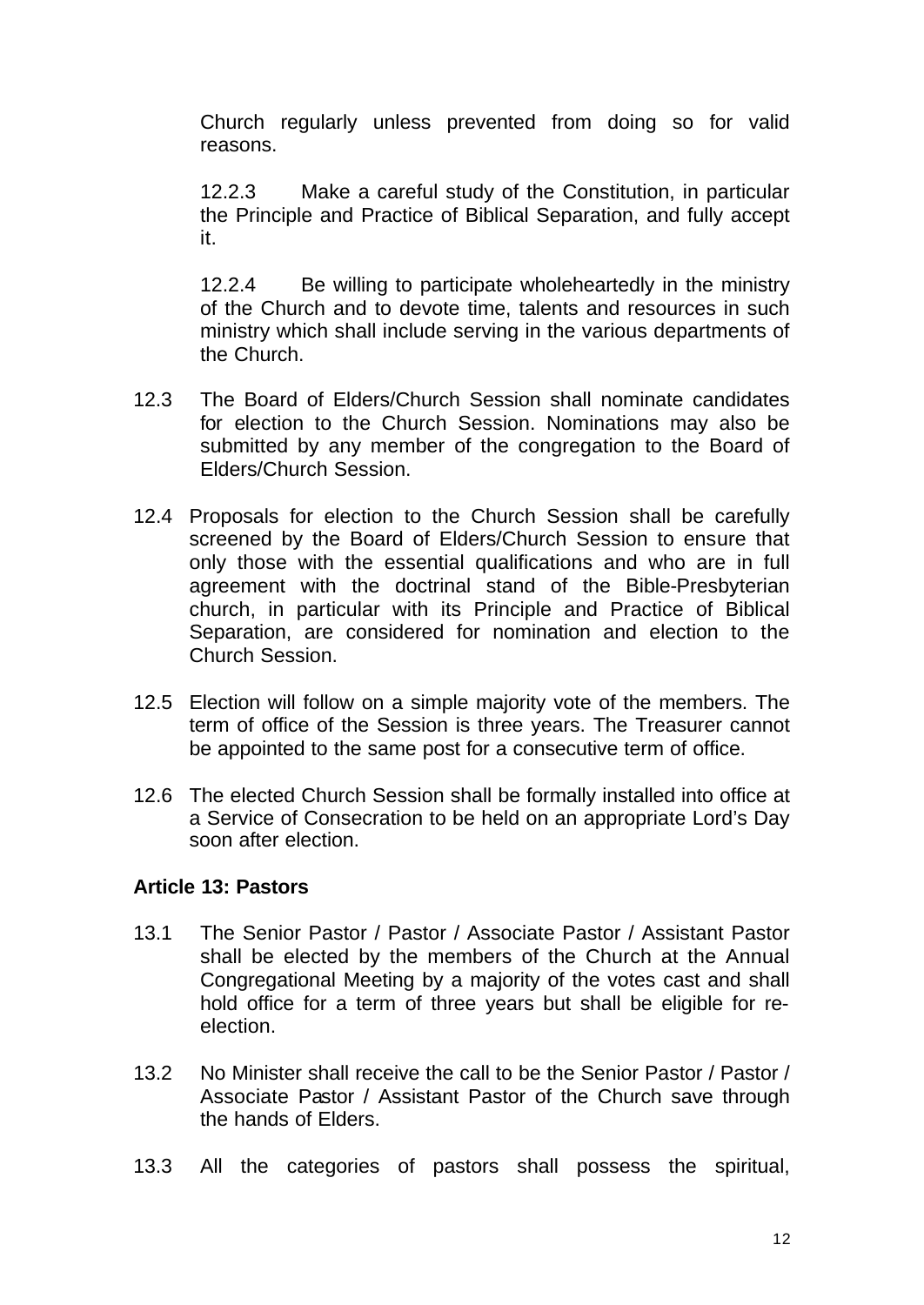Church regularly unless prevented from doing so for valid reasons.

12.2.3 Make a careful study of the Constitution, in particular the Principle and Practice of Biblical Separation, and fully accept it.

12.2.4 Be willing to participate wholeheartedly in the ministry of the Church and to devote time, talents and resources in such ministry which shall include serving in the various departments of the Church.

- 12.3 The Board of Elders/Church Session shall nominate candidates for election to the Church Session. Nominations may also be submitted by any member of the congregation to the Board of Elders/Church Session.
- 12.4 Proposals for election to the Church Session shall be carefully screened by the Board of Elders/Church Session to ensure that only those with the essential qualifications and who are in full agreement with the doctrinal stand of the Bible-Presbyterian church, in particular with its Principle and Practice of Biblical Separation, are considered for nomination and election to the Church Session.
- 12.5 Election will follow on a simple majority vote of the members. The term of office of the Session is three years. The Treasurer cannot be appointed to the same post for a consecutive term of office.
- 12.6 The elected Church Session shall be formally installed into office at a Service of Consecration to be held on an appropriate Lord's Day soon after election.

### **Article 13: Pastors**

- 13.1 The Senior Pastor / Pastor / Associate Pastor / Assistant Pastor shall be elected by the members of the Church at the Annual Congregational Meeting by a majority of the votes cast and shall hold office for a term of three years but shall be eligible for reelection.
- 13.2 No Minister shall receive the call to be the Senior Pastor / Pastor / Associate Pastor / Assistant Pastor of the Church save through the hands of Elders.
- 13.3 All the categories of pastors shall possess the spiritual,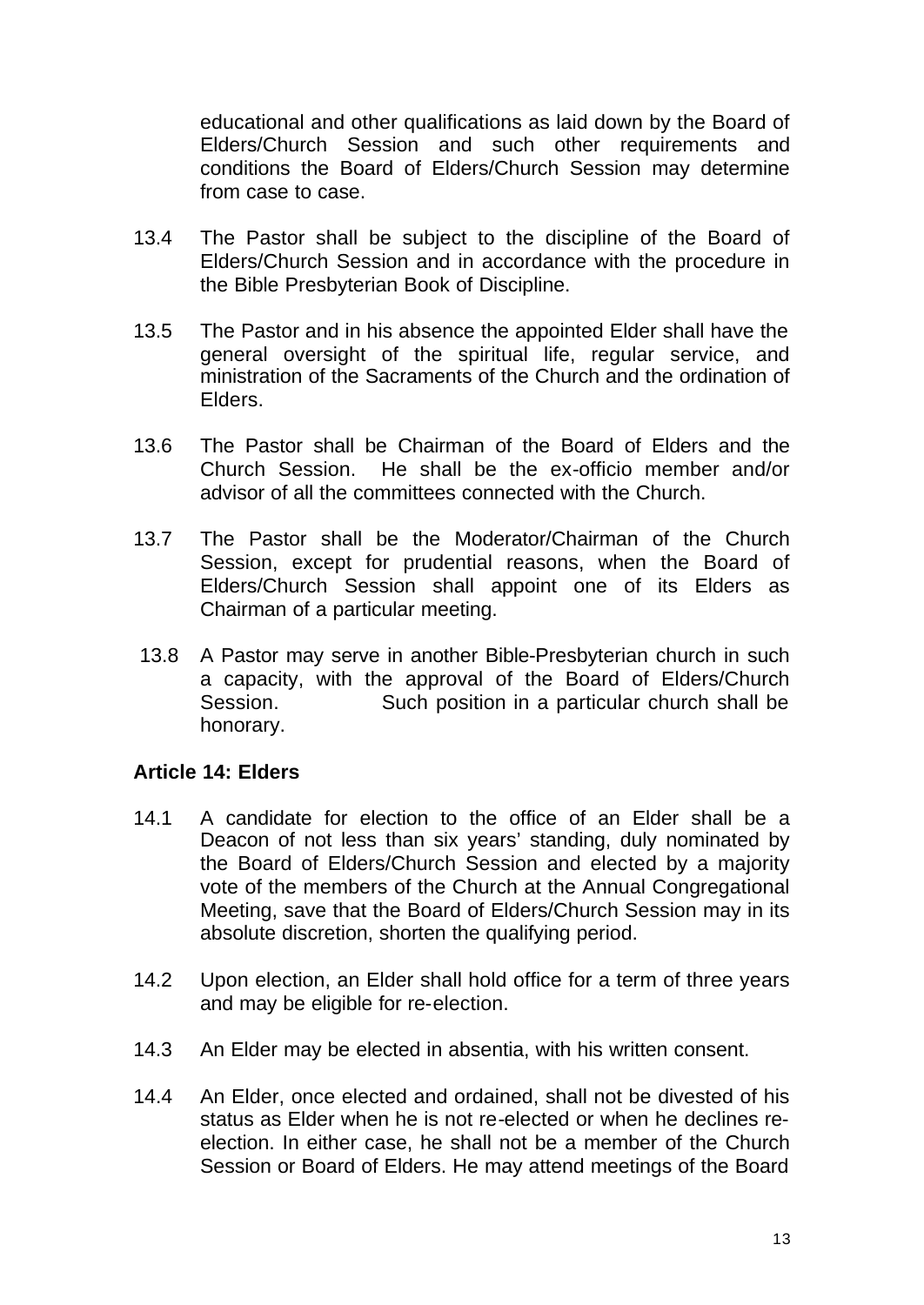educational and other qualifications as laid down by the Board of Elders/Church Session and such other requirements and conditions the Board of Elders/Church Session may determine from case to case.

- 13.4 The Pastor shall be subject to the discipline of the Board of Elders/Church Session and in accordance with the procedure in the Bible Presbyterian Book of Discipline.
- 13.5 The Pastor and in his absence the appointed Elder shall have the general oversight of the spiritual life, regular service, and ministration of the Sacraments of the Church and the ordination of Elders.
- 13.6 The Pastor shall be Chairman of the Board of Elders and the Church Session. He shall be the ex-officio member and/or advisor of all the committees connected with the Church.
- 13.7 The Pastor shall be the Moderator/Chairman of the Church Session, except for prudential reasons, when the Board of Elders/Church Session shall appoint one of its Elders as Chairman of a particular meeting.
- 13.8 A Pastor may serve in another Bible-Presbyterian church in such a capacity, with the approval of the Board of Elders/Church Session. Such position in a particular church shall be honorary.

### **Article 14: Elders**

- 14.1 A candidate for election to the office of an Elder shall be a Deacon of not less than six years' standing, duly nominated by the Board of Elders/Church Session and elected by a majority vote of the members of the Church at the Annual Congregational Meeting, save that the Board of Elders/Church Session may in its absolute discretion, shorten the qualifying period.
- 14.2 Upon election, an Elder shall hold office for a term of three years and may be eligible for re-election.
- 14.3 An Elder may be elected in absentia, with his written consent.
- 14.4 An Elder, once elected and ordained, shall not be divested of his status as Elder when he is not re-elected or when he declines reelection. In either case, he shall not be a member of the Church Session or Board of Elders. He may attend meetings of the Board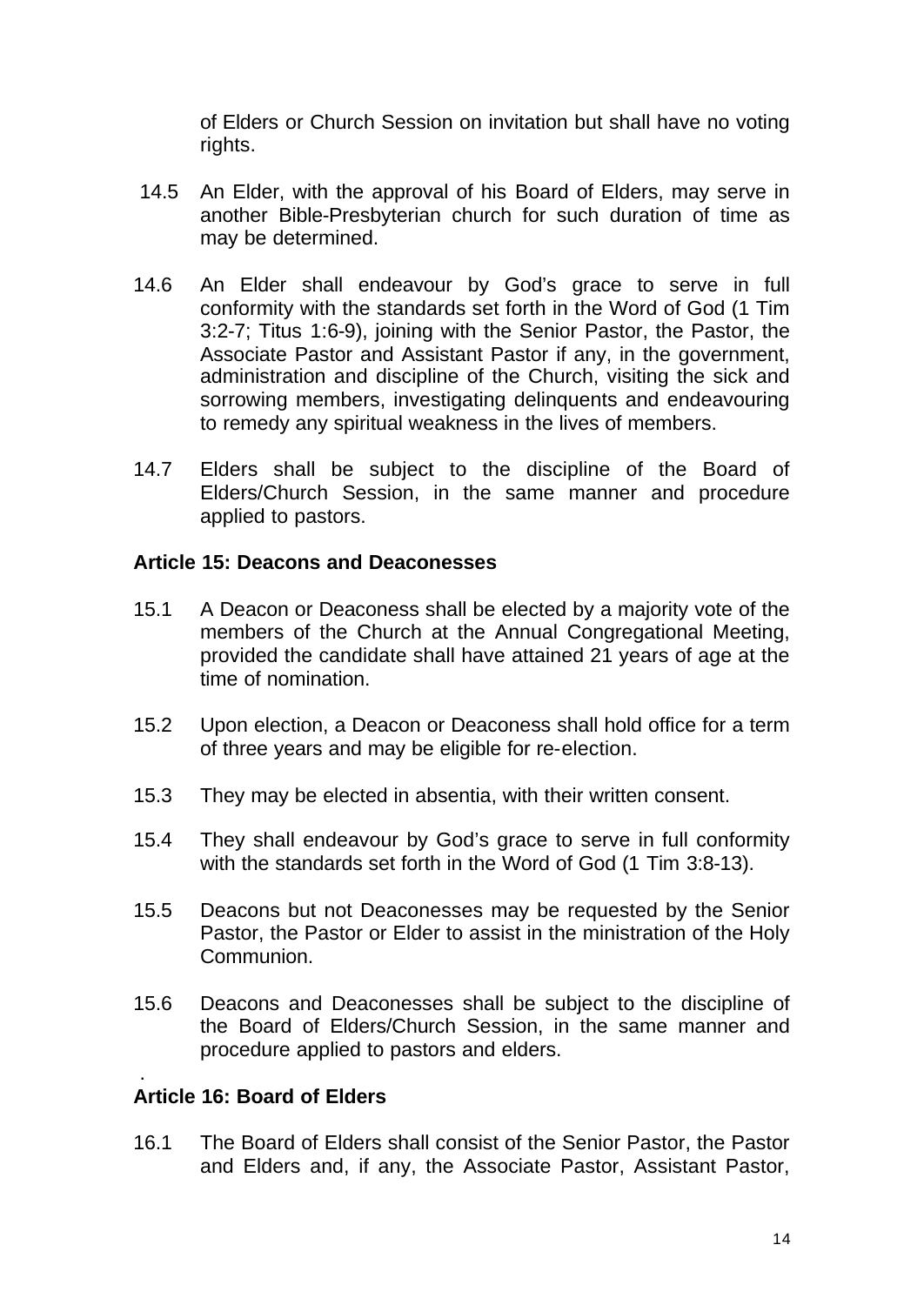of Elders or Church Session on invitation but shall have no voting rights.

- 14.5 An Elder, with the approval of his Board of Elders, may serve in another Bible-Presbyterian church for such duration of time as may be determined.
- 14.6 An Elder shall endeavour by God's grace to serve in full conformity with the standards set forth in the Word of God (1 Tim 3:2-7; Titus 1:6-9), joining with the Senior Pastor, the Pastor, the Associate Pastor and Assistant Pastor if any, in the government, administration and discipline of the Church, visiting the sick and sorrowing members, investigating delinquents and endeavouring to remedy any spiritual weakness in the lives of members.
- 14.7 Elders shall be subject to the discipline of the Board of Elders/Church Session, in the same manner and procedure applied to pastors.

#### **Article 15: Deacons and Deaconesses**

- 15.1 A Deacon or Deaconess shall be elected by a majority vote of the members of the Church at the Annual Congregational Meeting, provided the candidate shall have attained 21 years of age at the time of nomination.
- 15.2 Upon election, a Deacon or Deaconess shall hold office for a term of three years and may be eligible for re-election.
- 15.3 They may be elected in absentia, with their written consent.
- 15.4 They shall endeavour by God's grace to serve in full conformity with the standards set forth in the Word of God (1 Tim 3:8-13).
- 15.5 Deacons but not Deaconesses may be requested by the Senior Pastor, the Pastor or Elder to assist in the ministration of the Holy Communion.
- 15.6 Deacons and Deaconesses shall be subject to the discipline of the Board of Elders/Church Session, in the same manner and procedure applied to pastors and elders.

### **Article 16: Board of Elders**

.

16.1 The Board of Elders shall consist of the Senior Pastor, the Pastor and Elders and, if any, the Associate Pastor, Assistant Pastor,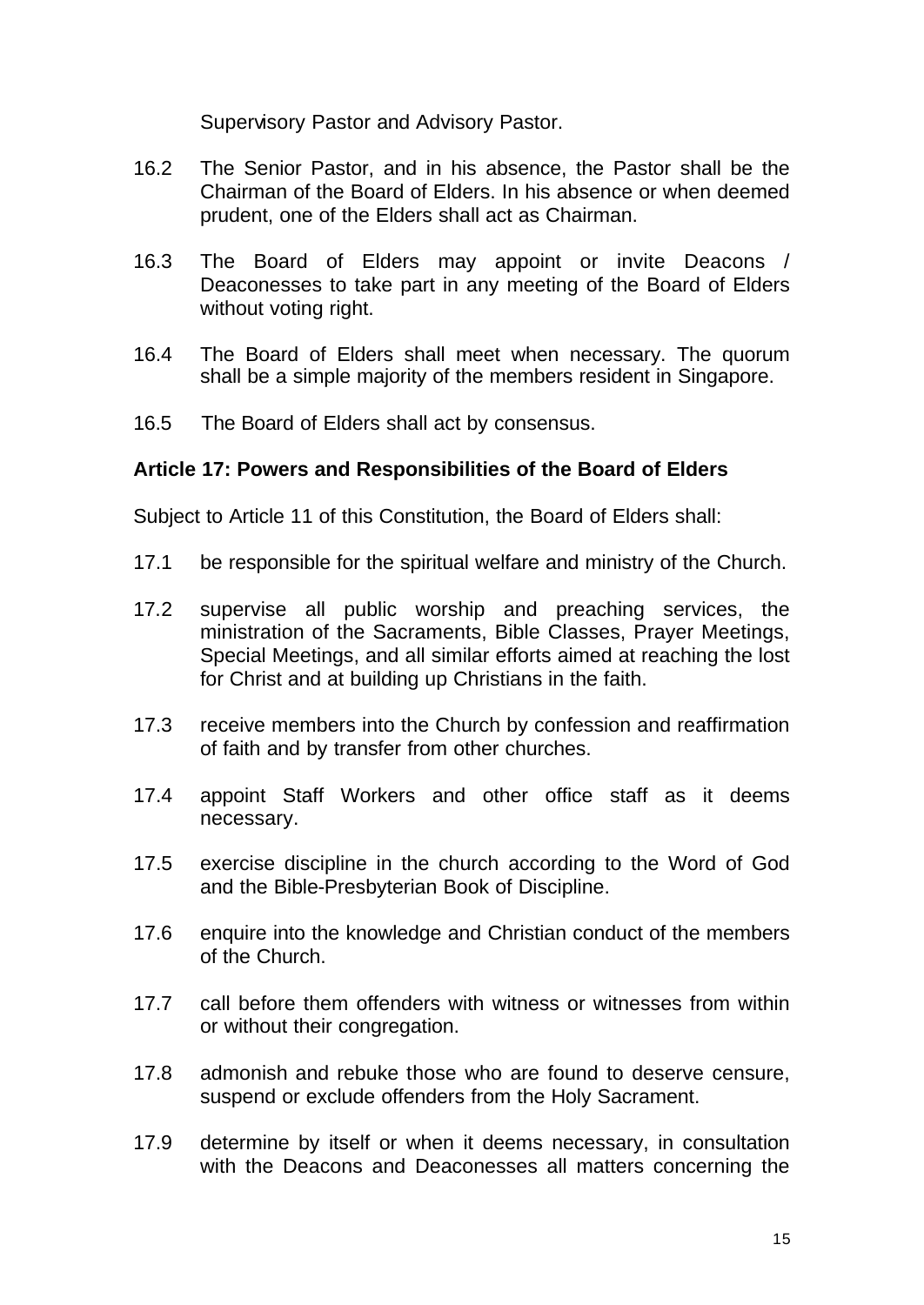Supervisory Pastor and Advisory Pastor.

- 16.2 The Senior Pastor, and in his absence, the Pastor shall be the Chairman of the Board of Elders. In his absence or when deemed prudent, one of the Elders shall act as Chairman.
- 16.3 The Board of Elders may appoint or invite Deacons / Deaconesses to take part in any meeting of the Board of Elders without voting right.
- 16.4 The Board of Elders shall meet when necessary. The quorum shall be a simple majority of the members resident in Singapore.
- 16.5 The Board of Elders shall act by consensus.

#### **Article 17: Powers and Responsibilities of the Board of Elders**

Subject to Article 11 of this Constitution, the Board of Elders shall:

- 17.1 be responsible for the spiritual welfare and ministry of the Church.
- 17.2 supervise all public worship and preaching services, the ministration of the Sacraments, Bible Classes, Prayer Meetings, Special Meetings, and all similar efforts aimed at reaching the lost for Christ and at building up Christians in the faith.
- 17.3 receive members into the Church by confession and reaffirmation of faith and by transfer from other churches.
- 17.4 appoint Staff Workers and other office staff as it deems necessary.
- 17.5 exercise discipline in the church according to the Word of God and the Bible-Presbyterian Book of Discipline.
- 17.6 enquire into the knowledge and Christian conduct of the members of the Church.
- 17.7 call before them offenders with witness or witnesses from within or without their congregation.
- 17.8 admonish and rebuke those who are found to deserve censure, suspend or exclude offenders from the Holy Sacrament.
- 17.9 determine by itself or when it deems necessary, in consultation with the Deacons and Deaconesses all matters concerning the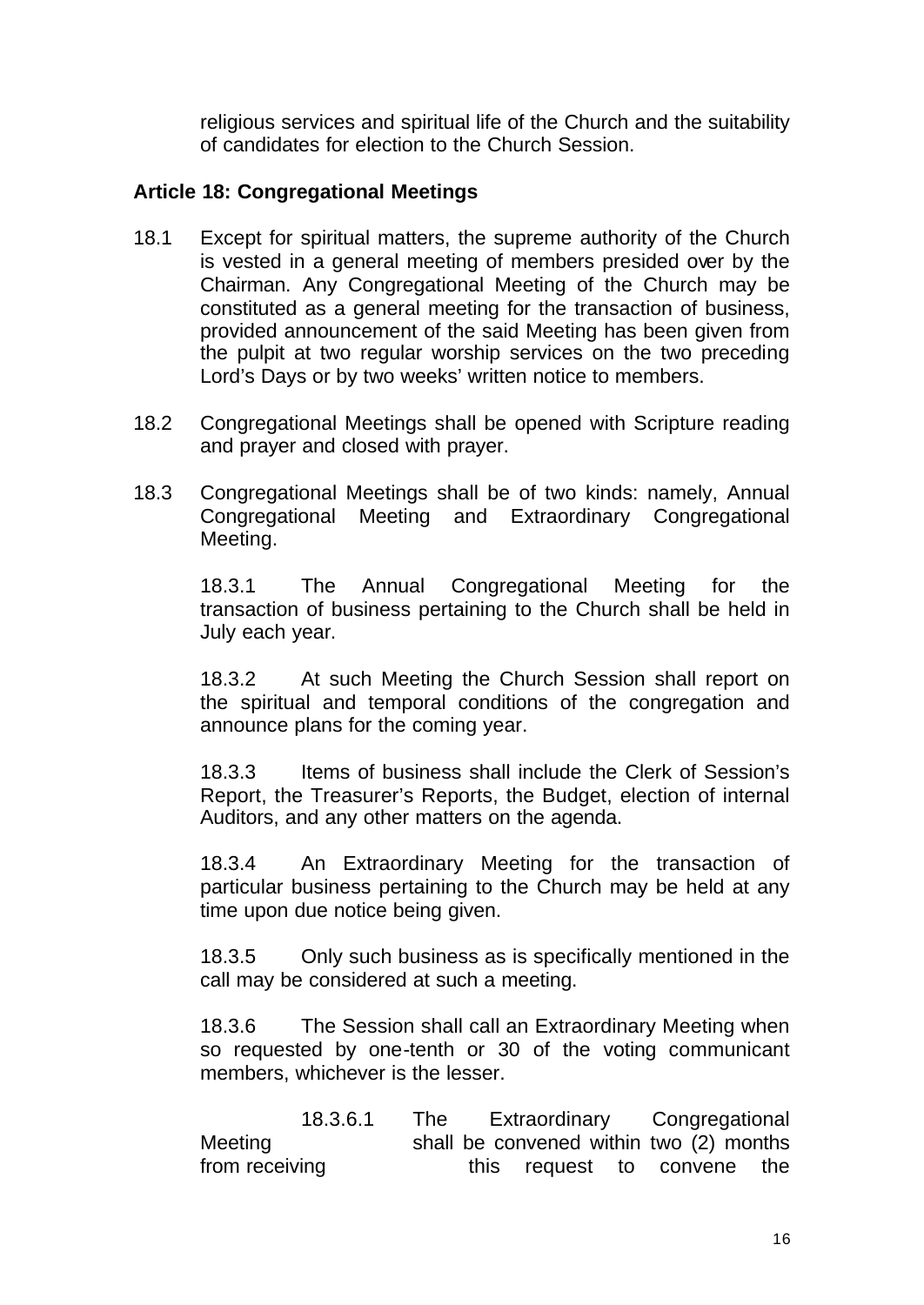religious services and spiritual life of the Church and the suitability of candidates for election to the Church Session.

# **Article 18: Congregational Meetings**

- 18.1 Except for spiritual matters, the supreme authority of the Church is vested in a general meeting of members presided over by the Chairman. Any Congregational Meeting of the Church may be constituted as a general meeting for the transaction of business, provided announcement of the said Meeting has been given from the pulpit at two regular worship services on the two preceding Lord's Days or by two weeks' written notice to members.
- 18.2 Congregational Meetings shall be opened with Scripture reading and prayer and closed with prayer.
- 18.3 Congregational Meetings shall be of two kinds: namely, Annual Congregational Meeting and Extraordinary Congregational Meeting.

18.3.1 The Annual Congregational Meeting for the transaction of business pertaining to the Church shall be held in July each year.

18.3.2 At such Meeting the Church Session shall report on the spiritual and temporal conditions of the congregation and announce plans for the coming year.

18.3.3 Items of business shall include the Clerk of Session's Report, the Treasurer's Reports, the Budget, election of internal Auditors, and any other matters on the agenda.

18.3.4 An Extraordinary Meeting for the transaction of particular business pertaining to the Church may be held at any time upon due notice being given.

18.3.5 Only such business as is specifically mentioned in the call may be considered at such a meeting.

18.3.6 The Session shall call an Extraordinary Meeting when so requested by one-tenth or 30 of the voting communicant members, whichever is the lesser.

18.3.6.1 The Extraordinary Congregational Meeting shall be convened within two (2) months from receiving this request to convene the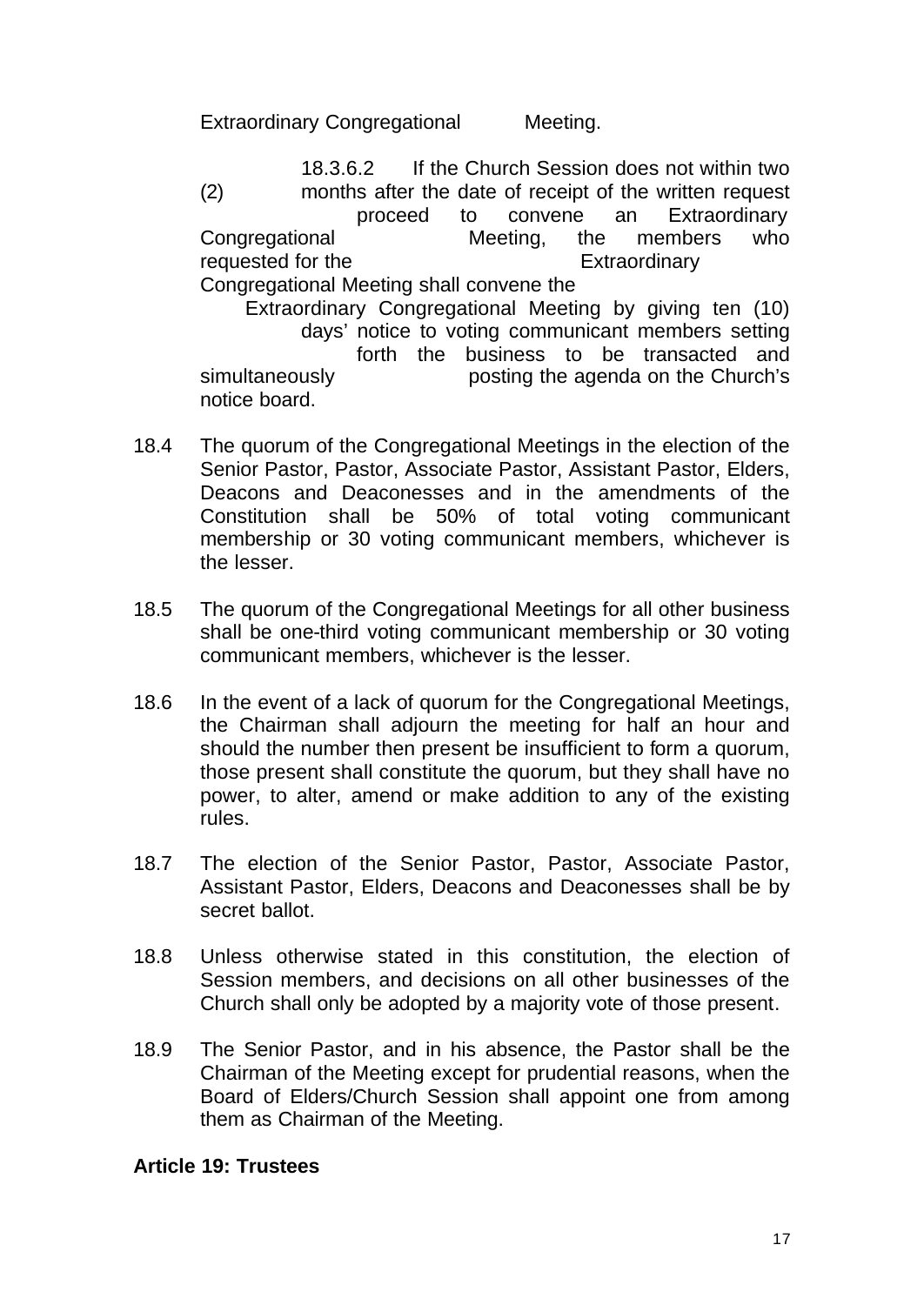Extraordinary Congregational Meeting.

18.3.6.2 If the Church Session does not within two (2) months after the date of receipt of the written request proceed to convene an Extraordinary Congregational Meeting, the members who requested for the Extraordinary Congregational Meeting shall convene the Extraordinary Congregational Meeting by giving ten (10) days' notice to voting communicant members setting forth the business to be transacted and simultaneously posting the agenda on the Church's notice board.

- 18.4 The quorum of the Congregational Meetings in the election of the Senior Pastor, Pastor, Associate Pastor, Assistant Pastor, Elders, Deacons and Deaconesses and in the amendments of the Constitution shall be 50% of total voting communicant membership or 30 voting communicant members, whichever is the lesser.
- 18.5 The quorum of the Congregational Meetings for all other business shall be one-third voting communicant membership or 30 voting communicant members, whichever is the lesser.
- 18.6 In the event of a lack of quorum for the Congregational Meetings, the Chairman shall adjourn the meeting for half an hour and should the number then present be insufficient to form a quorum, those present shall constitute the quorum, but they shall have no power, to alter, amend or make addition to any of the existing rules.
- 18.7 The election of the Senior Pastor, Pastor, Associate Pastor, Assistant Pastor, Elders, Deacons and Deaconesses shall be by secret ballot.
- 18.8 Unless otherwise stated in this constitution, the election of Session members, and decisions on all other businesses of the Church shall only be adopted by a majority vote of those present.
- 18.9 The Senior Pastor, and in his absence, the Pastor shall be the Chairman of the Meeting except for prudential reasons, when the Board of Elders/Church Session shall appoint one from among them as Chairman of the Meeting.

#### **Article 19: Trustees**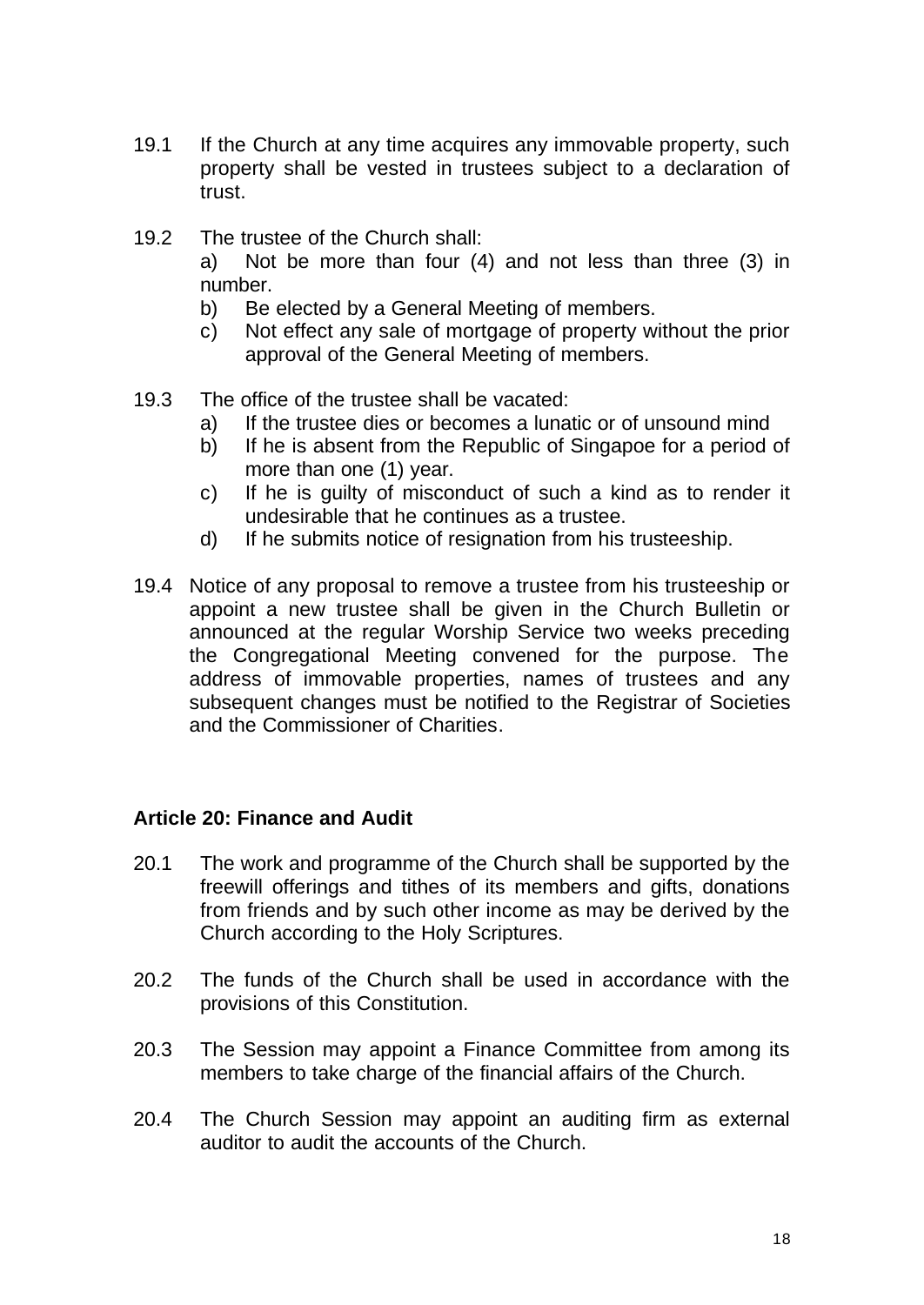- 19.1 If the Church at any time acquires any immovable property, such property shall be vested in trustees subject to a declaration of trust.
- 19.2 The trustee of the Church shall:

a) Not be more than four (4) and not less than three (3) in number.

- b) Be elected by a General Meeting of members.
- c) Not effect any sale of mortgage of property without the prior approval of the General Meeting of members.
- 19.3 The office of the trustee shall be vacated:
	- a) If the trustee dies or becomes a lunatic or of unsound mind
	- b) If he is absent from the Republic of Singapoe for a period of more than one (1) year.
	- c) If he is guilty of misconduct of such a kind as to render it undesirable that he continues as a trustee.
	- d) If he submits notice of resignation from his trusteeship.
- 19.4 Notice of any proposal to remove a trustee from his trusteeship or appoint a new trustee shall be given in the Church Bulletin or announced at the regular Worship Service two weeks preceding the Congregational Meeting convened for the purpose. The address of immovable properties, names of trustees and any subsequent changes must be notified to the Registrar of Societies and the Commissioner of Charities.

#### **Article 20: Finance and Audit**

- 20.1 The work and programme of the Church shall be supported by the freewill offerings and tithes of its members and gifts, donations from friends and by such other income as may be derived by the Church according to the Holy Scriptures.
- 20.2 The funds of the Church shall be used in accordance with the provisions of this Constitution.
- 20.3 The Session may appoint a Finance Committee from among its members to take charge of the financial affairs of the Church.
- 20.4 The Church Session may appoint an auditing firm as external auditor to audit the accounts of the Church.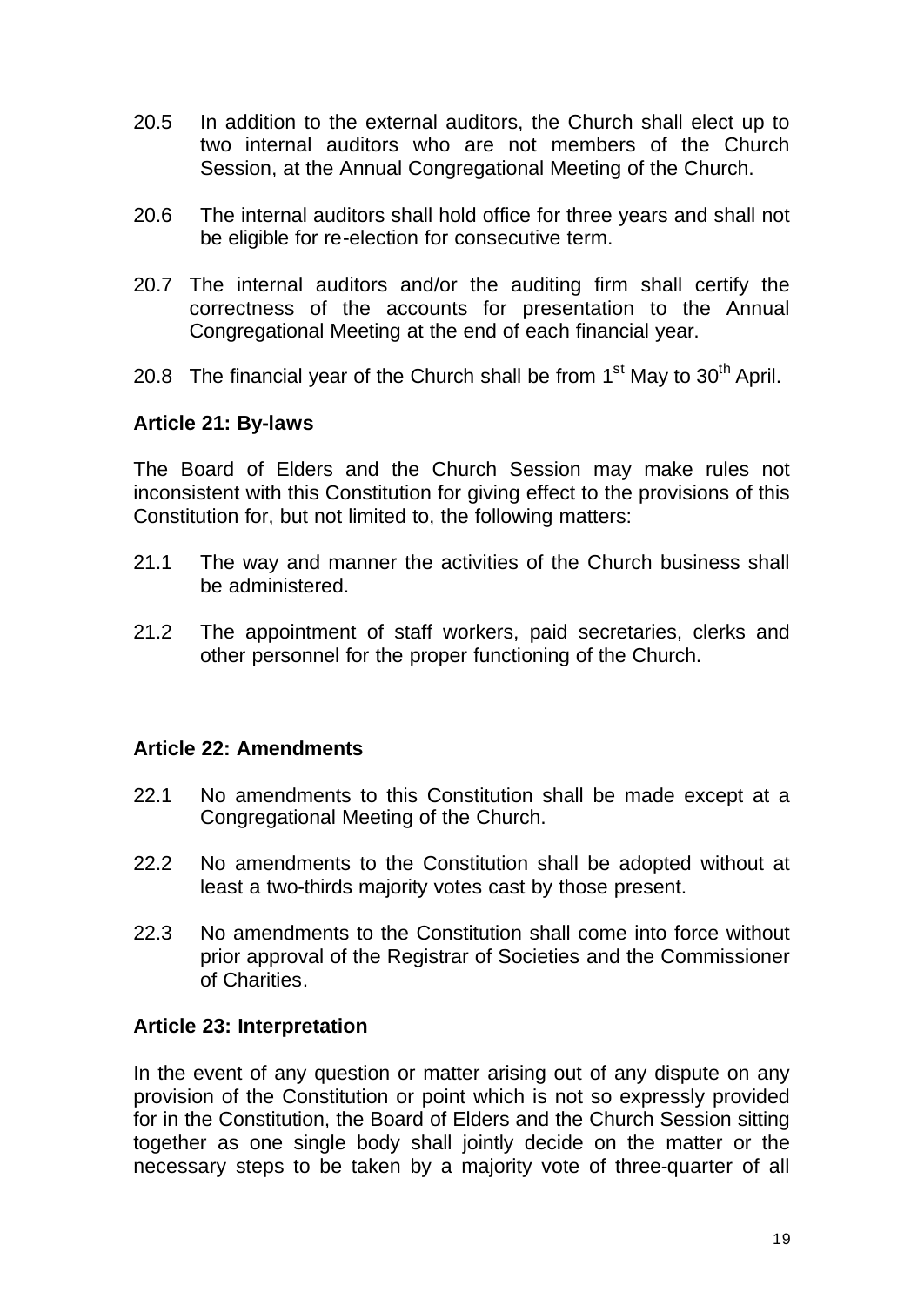- 20.5 In addition to the external auditors, the Church shall elect up to two internal auditors who are not members of the Church Session, at the Annual Congregational Meeting of the Church.
- 20.6 The internal auditors shall hold office for three years and shall not be eligible for re-election for consecutive term.
- 20.7 The internal auditors and/or the auditing firm shall certify the correctness of the accounts for presentation to the Annual Congregational Meeting at the end of each financial year.
- 20.8 The financial year of the Church shall be from  $1<sup>st</sup>$  May to  $30<sup>th</sup>$  April.

### **Article 21: By-laws**

The Board of Elders and the Church Session may make rules not inconsistent with this Constitution for giving effect to the provisions of this Constitution for, but not limited to, the following matters:

- 21.1 The way and manner the activities of the Church business shall be administered.
- 21.2 The appointment of staff workers, paid secretaries, clerks and other personnel for the proper functioning of the Church.

### **Article 22: Amendments**

- 22.1 No amendments to this Constitution shall be made except at a Congregational Meeting of the Church.
- 22.2 No amendments to the Constitution shall be adopted without at least a two-thirds majority votes cast by those present.
- 22.3 No amendments to the Constitution shall come into force without prior approval of the Registrar of Societies and the Commissioner of Charities.

#### **Article 23: Interpretation**

In the event of any question or matter arising out of any dispute on any provision of the Constitution or point which is not so expressly provided for in the Constitution, the Board of Elders and the Church Session sitting together as one single body shall jointly decide on the matter or the necessary steps to be taken by a majority vote of three-quarter of all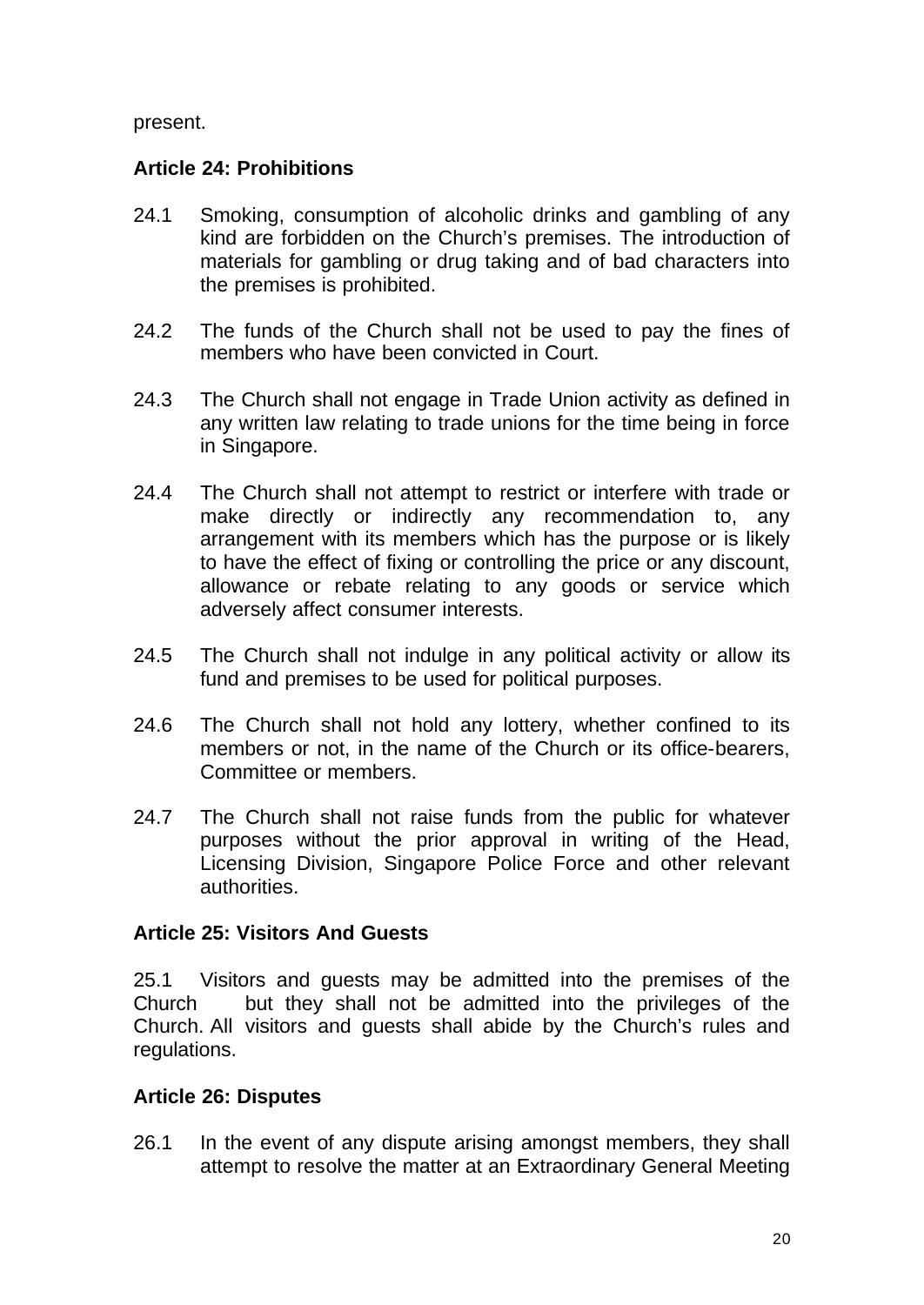present.

#### **Article 24: Prohibitions**

- 24.1 Smoking, consumption of alcoholic drinks and gambling of any kind are forbidden on the Church's premises. The introduction of materials for gambling or drug taking and of bad characters into the premises is prohibited.
- 24.2 The funds of the Church shall not be used to pay the fines of members who have been convicted in Court.
- 24.3 The Church shall not engage in Trade Union activity as defined in any written law relating to trade unions for the time being in force in Singapore.
- 24.4 The Church shall not attempt to restrict or interfere with trade or make directly or indirectly any recommendation to, any arrangement with its members which has the purpose or is likely to have the effect of fixing or controlling the price or any discount, allowance or rebate relating to any goods or service which adversely affect consumer interests.
- 24.5 The Church shall not indulge in any political activity or allow its fund and premises to be used for political purposes.
- 24.6 The Church shall not hold any lottery, whether confined to its members or not, in the name of the Church or its office-bearers, Committee or members.
- 24.7 The Church shall not raise funds from the public for whatever purposes without the prior approval in writing of the Head, Licensing Division, Singapore Police Force and other relevant authorities.

#### **Article 25: Visitors And Guests**

25.1 Visitors and guests may be admitted into the premises of the Church but they shall not be admitted into the privileges of the Church. All visitors and guests shall abide by the Church's rules and regulations.

### **Article 26: Disputes**

26.1 In the event of any dispute arising amongst members, they shall attempt to resolve the matter at an Extraordinary General Meeting